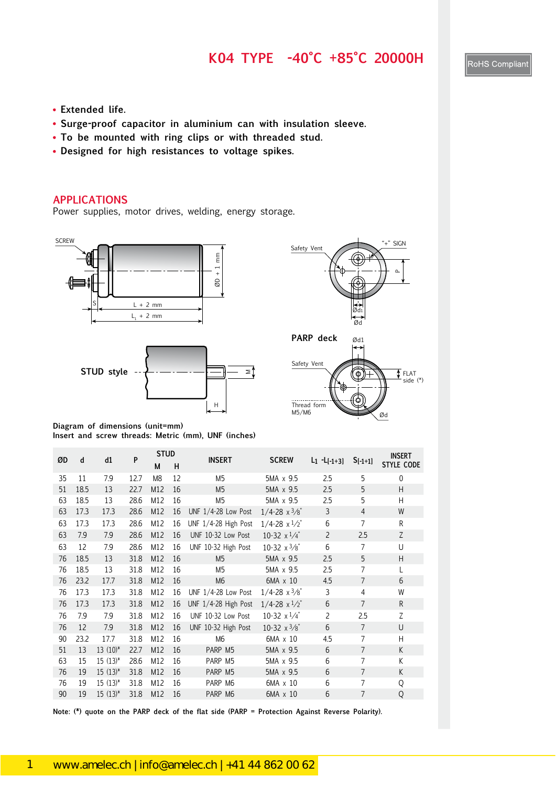#### **K04 TYPE -40°C +85°C 20000H**

- **Extended life.**
- **Surge-proof capacitor in aluminium can with insulation sleeve.**
- **To be mounted with ring clips or with threaded stud.**
- **Designed for high resistances to voltage spikes.**

#### **APPLICATIONS**

Power supplies, motor drives, welding, energy storage.









**Diagram of dimensions (unit=mm) Insert and screw threads: Metric (mm), UNF (inches)**

| ØD | d    | d1           | P    | <b>STUD</b>    |    | <b>INSERT</b><br><b>SCREW</b> |                               |                 |                | <b>INSERT</b>     |  |
|----|------|--------------|------|----------------|----|-------------------------------|-------------------------------|-----------------|----------------|-------------------|--|
|    |      |              |      | M              | н  |                               |                               | $L_1 - L[-1+3]$ | $S[-1+1]$      | <b>STYLE CODE</b> |  |
| 35 | 11   | 7.9          | 12.7 | M <sub>8</sub> | 12 | M <sub>5</sub>                | 5MA x 9.5                     | 2.5             | 5              | $\mathbf 0$       |  |
| 51 | 18.5 | 13           | 22.7 | M12            | 16 | M <sub>5</sub>                | 5MA x 9.5                     | 2.5             | 5              | H                 |  |
| 63 | 18.5 | 13           | 28.6 | M12            | 16 | M <sub>5</sub>                | 5MA x 9.5                     | 2.5             | 5              | H                 |  |
| 63 | 17.3 | 17.3         | 28.6 | M12            | 16 | UNF 1/4-28 Low Post           | $1/4 - 28 \times \frac{3}{8}$ | 3               | $\overline{4}$ | W                 |  |
| 63 | 17.3 | 17.3         | 28.6 | M12            | 16 | UNF 1/4-28 High Post          | $1/4 - 28 \times \frac{1}{2}$ | 6               | $\overline{7}$ | R                 |  |
| 63 | 7.9  | 7.9          | 28.6 | M12            | 16 | UNF 10-32 Low Post            | 10-32 $x^{1/4}$               | $\overline{2}$  | 2.5            | Z                 |  |
| 63 | 12   | 7.9          | 28.6 | M12            | 16 | UNF 10-32 High Post           | 10-32 $x\frac{3}{8}$          | 6               | 7              | U                 |  |
| 76 | 18.5 | 13           | 31.8 | M12            | 16 | M <sub>5</sub>                | 5MA x 9.5                     | 2.5             | 5              | H                 |  |
| 76 | 18.5 | 13           | 31.8 | M12            | 16 | M <sub>5</sub>                | 5MA x 9.5                     | 2.5             | $\overline{7}$ | L                 |  |
| 76 | 23.2 | 17.7         | 31.8 | M12            | 16 | M <sub>6</sub>                | 6MA x 10                      | 4.5             | $\overline{7}$ | 6                 |  |
| 76 | 17.3 | 17.3         | 31.8 | M12            | 16 | UNF 1/4-28 Low Post           | $1/4 - 28 \times \frac{3}{8}$ | 3               | 4              | W                 |  |
| 76 | 17.3 | 17.3         | 31.8 | M12            | 16 | UNF 1/4-28 High Post          | $1/4 - 28 \times \frac{1}{2}$ | 6               | $\overline{7}$ | $\mathsf{R}$      |  |
| 76 | 7.9  | 7.9          | 31.8 | M12            | 16 | UNF 10-32 Low Post            | 10-32 $x^{1/4}$               | 2               | 2.5            | Ζ                 |  |
| 76 | 12   | 7.9          | 31.8 | M12            | 16 | UNF 10-32 High Post           | 10-32 $\times$ 3/8"           | 6               | $\overline{7}$ | U                 |  |
| 90 | 23.2 | 17.7         | 31.8 | M12            | 16 | M <sub>6</sub>                | 6MA x 10                      | 4.5             | 7              | H                 |  |
| 51 | 13   | $13(10)*$    | 22.7 | M12            | 16 | PARP M5                       | 5MA x 9.5                     | 6               | $\overline{7}$ | K                 |  |
| 63 | 15   | $15(13)^{*}$ | 28.6 | M12            | 16 | PARP M5                       | 5MA x 9.5                     | 6               | 7              | K                 |  |
| 76 | 19   | $15(13)*$    | 31.8 | M12            | 16 | PARP M5                       | 5MA x 9.5                     | 6               | $\overline{7}$ | K                 |  |
| 76 | 19   | $15(13)^{*}$ | 31.8 | M12            | 16 | PARP M6                       | 6MA x 10                      | 6               | $\overline{7}$ | Q                 |  |
| 90 | 19   | $15(13)*$    | 31.8 | M12            | 16 | PARP M6                       | 6MA x 10                      | 6               | $\overline{7}$ | Q                 |  |

**Note: (\*) quote on the PARP deck of the flat side (PARP = Protection Against Reverse Polarity).**

RoHS Compliant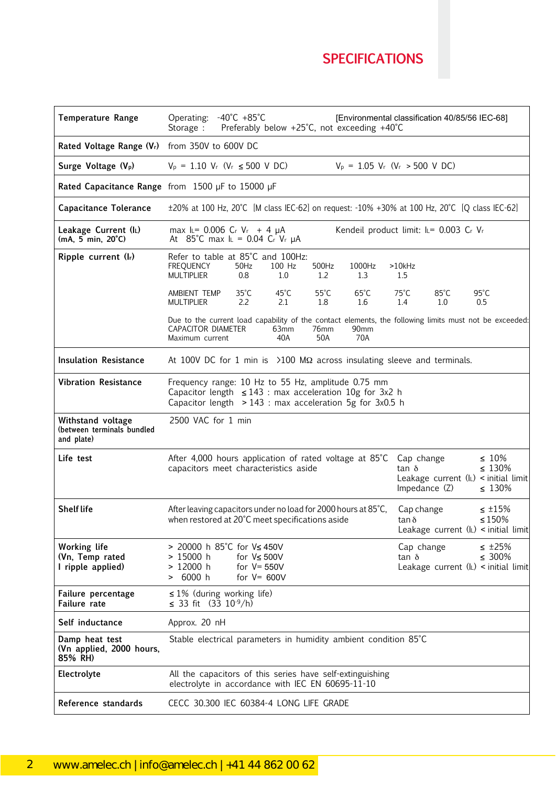# **SPECIFICATIONS**

45

| <b>Temperature Range</b>                                      | Operating: -40°C +85°C<br>Preferably below +25°C, not exceeding +40°C<br>Storage :                                                                                                                                                       | [Environmental classification 40/85/56 IEC-68]                                                       |  |  |  |  |  |
|---------------------------------------------------------------|------------------------------------------------------------------------------------------------------------------------------------------------------------------------------------------------------------------------------------------|------------------------------------------------------------------------------------------------------|--|--|--|--|--|
| Rated Voltage Range (Vr) from 350V to 600V DC                 |                                                                                                                                                                                                                                          |                                                                                                      |  |  |  |  |  |
| Surge Voltage (V <sub>p</sub> )                               | $V_P = 1.10 V_r (V_r \le 500 V DC)$                                                                                                                                                                                                      | $V_p = 1.05 V_r$ (V <sub>r</sub> > 500 V DC)                                                         |  |  |  |  |  |
|                                                               | Rated Capacitance Range from 1500 µF to 15000 µF                                                                                                                                                                                         |                                                                                                      |  |  |  |  |  |
| <b>Capacitance Tolerance</b>                                  | ±20% at 100 Hz, 20°C [M class IEC-62] on request: -10% +30% at 100 Hz, 20°C [Q class IEC-62]                                                                                                                                             |                                                                                                      |  |  |  |  |  |
| Leakage Current (IL)<br>$(mA, 5 min, 20^{\circ}C)$            | max $I = 0.006$ Cr Vr + 4 $\mu$ A<br>At 85°C max $I_L = 0.04$ Cr Vr $\mu A$                                                                                                                                                              | Kendeil product limit: IL= 0.003 Cr Vr                                                               |  |  |  |  |  |
| Ripple current (Ir)                                           | Refer to table at 85°C and 100Hz:<br><b>FREQUENCY</b><br>100 Hz<br>500Hz<br>1000Hz<br>50Hz<br><b>MULTIPLIER</b><br>1.0<br>1.3<br>$0.8\,$<br>1.2                                                                                          | $>10$ kHz<br>1.5                                                                                     |  |  |  |  |  |
|                                                               | $35^{\circ}$ C<br>$45^{\circ}$ C<br>$55^{\circ}$ C<br>$65^{\circ}$ C<br>AMBIENT TEMP<br><b>MULTIPLIER</b><br>2.2<br>2.1<br>1.8<br>1.6                                                                                                    | $75^{\circ}$ C<br>$85^{\circ}$ C<br>$95^{\circ}$ C<br>1.4<br>1.0<br>0.5                              |  |  |  |  |  |
|                                                               | Due to the current load capability of the contact elements, the following limits must not be exceeded:<br>CAPACITOR DIAMETER<br>63mm<br>76mm<br>90mm<br>Maximum current<br>40A<br>50A<br>70A                                             |                                                                                                      |  |  |  |  |  |
| <b>Insulation Resistance</b>                                  | At 100V DC for 1 min is $\geq$ 100 M $\Omega$ across insulating sleeve and terminals.                                                                                                                                                    |                                                                                                      |  |  |  |  |  |
| <b>Vibration Resistance</b>                                   | Frequency range: 10 Hz to 55 Hz, amplitude 0.75 mm<br>Capacitor length $\leq 143$ : max acceleration 10g for 3x2 h<br>Capacitor length $> 143$ : max acceleration 5g for 3x0.5 h                                                         |                                                                                                      |  |  |  |  |  |
| Withstand voltage<br>(between terminals bundled<br>and plate) | 2500 VAC for 1 min                                                                                                                                                                                                                       |                                                                                                      |  |  |  |  |  |
| Life test                                                     | $\leq 10\%$<br>After 4,000 hours application of rated voltage at 85°C<br>Cap change<br>$\leq 130\%$<br>capacitors meet characteristics aside<br>$tan \delta$<br>Leakage current $(l_L)$ < initial limit<br>Impedance (Z)<br>$\leq 130\%$ |                                                                                                      |  |  |  |  |  |
| <b>Shelf life</b>                                             | After leaving capacitors under no load for 2000 hours at 85°C,<br>$\leq$ ±15%<br>Cap change<br>when restored at 20°C meet specifications aside<br>$\leq 150\%$<br>tan δ<br>Leakage current $(l_L)$ < initial limit                       |                                                                                                      |  |  |  |  |  |
| Working life<br>(Vn, Temp rated<br>I ripple applied)          | > 20000 h 85°C for V≤ 450V<br>$> 15000$ h<br>for $V \leq 500V$<br>$> 12000$ h<br>for $V = 550V$<br>> 6000 h<br>for $V = 600V$                                                                                                            | Cap change<br>$\leq$ ±25%<br>$tan \delta$<br>$\leq 300\%$<br>Leakage current $(l_L)$ < initial limit |  |  |  |  |  |
| Failure percentage<br>Failure rate                            | $\leq 1\%$ (during working life)<br>≤ 33 fit $(3\bar{3} 10^{-9}/h)$                                                                                                                                                                      |                                                                                                      |  |  |  |  |  |
| Self inductance                                               | Approx. 20 nH                                                                                                                                                                                                                            |                                                                                                      |  |  |  |  |  |
| Damp heat test<br>(Vn applied, 2000 hours,<br>85% RH)         | Stable electrical parameters in humidity ambient condition 85°C                                                                                                                                                                          |                                                                                                      |  |  |  |  |  |
| Electrolyte                                                   | All the capacitors of this series have self-extinguishing<br>electrolyte in accordance with IEC EN 60695-11-10                                                                                                                           |                                                                                                      |  |  |  |  |  |
| Reference standards                                           | CECC 30.300 IEC 60384-4 LONG LIFE GRADE                                                                                                                                                                                                  |                                                                                                      |  |  |  |  |  |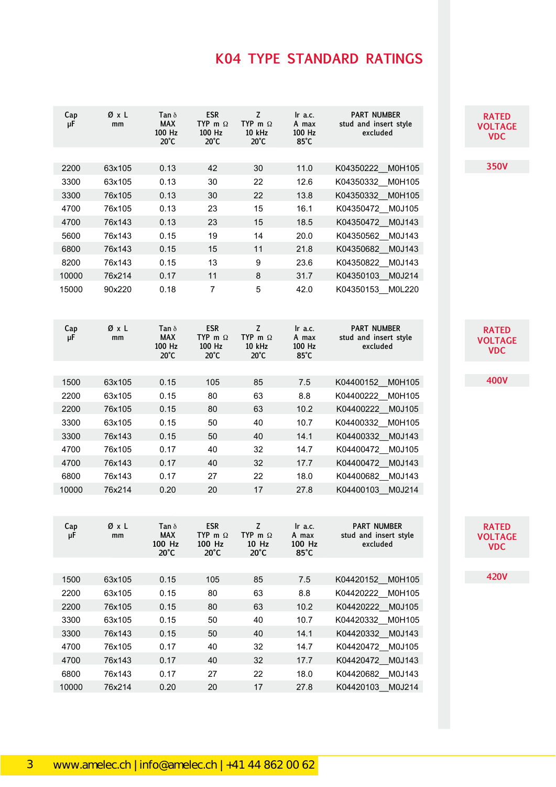## **K04 TYPE STANDARD RATINGS**

| Cap<br>μF | ØxL<br>mm | Tan $\delta$<br><b>MAX</b><br>100 Hz<br>$20^{\circ}$ C | <b>ESR</b><br>TYP m $\Omega$<br>100 Hz<br>$20^{\circ}$ C | z<br>TYP m $\Omega$<br>10 kHz<br>$20^{\circ}$ C          | $lr$ a.c.<br>A max<br>100 Hz<br>$85^{\circ}$ C  | <b>PART NUMBER</b><br>stud and insert style<br>excluded | <b>RATED</b><br><b>VOLTAGE</b><br><b>VDC</b> |
|-----------|-----------|--------------------------------------------------------|----------------------------------------------------------|----------------------------------------------------------|-------------------------------------------------|---------------------------------------------------------|----------------------------------------------|
|           |           |                                                        |                                                          |                                                          |                                                 |                                                         |                                              |
| 2200      | 63x105    | 0.13                                                   | 42                                                       | 30                                                       | 11.0                                            | M0H105<br>K04350222                                     | <b>350V</b>                                  |
| 3300      | 63x105    | 0.13                                                   | 30                                                       | 22                                                       | 12.6                                            | K04350332<br>M0H105                                     |                                              |
| 3300      | 76x105    | 0.13                                                   | 30                                                       | 22                                                       | 13.8                                            | K04350332 M0H105                                        |                                              |
| 4700      | 76x105    | 0.13                                                   | 23                                                       | 15                                                       | 16.1                                            | K04350472 M0J105                                        |                                              |
| 4700      | 76x143    | 0.13                                                   | 23                                                       | 15                                                       | 18.5                                            | K04350472 M0J143                                        |                                              |
| 5600      | 76x143    | 0.15                                                   | 19                                                       | 14                                                       | 20.0                                            | M0J143<br>K04350562                                     |                                              |
| 6800      | 76x143    | 0.15                                                   | 15                                                       | 11                                                       | 21.8                                            | K04350682<br>M0J143                                     |                                              |
| 8200      | 76x143    | 0.15                                                   | 13                                                       | 9                                                        | 23.6                                            | K04350822 M0J143                                        |                                              |
| 10000     | 76x214    | 0.17                                                   | 11                                                       | 8                                                        | 31.7                                            | K04350103 M0J214                                        |                                              |
| 15000     | 90x220    | 0.18                                                   | $\overline{7}$                                           | 5                                                        | 42.0                                            | K04350153 M0L220                                        |                                              |
| Cap<br>μF | ØxL<br>mm | Tan $\delta$<br><b>MAX</b><br>100 Hz<br>$20^{\circ}$ C | <b>ESR</b><br>TYP m $\Omega$<br>100 Hz<br>$20^{\circ}$ C | Z<br>TYP m $\Omega$<br>10 kHz<br>$20^{\circ}$ C          | $\ln$ a.c.<br>A max<br>100 Hz<br>$85^{\circ}$ C | <b>PART NUMBER</b><br>stud and insert style<br>excluded | <b>RATED</b><br><b>VOLTAGE</b><br><b>VDC</b> |
|           |           |                                                        |                                                          |                                                          |                                                 |                                                         |                                              |
| 1500      | 63x105    | 0.15                                                   | 105                                                      | 85                                                       | 7.5                                             | M0H105<br>K04400152                                     | <b>400V</b>                                  |
| 2200      | 63x105    | 0.15                                                   | 80                                                       | 63                                                       | 8.8                                             | K04400222<br>M0H105                                     |                                              |
| 2200      | 76x105    | 0.15                                                   | 80                                                       | 63                                                       | 10.2                                            | K04400222 M0J105                                        |                                              |
| 3300      | 63x105    | 0.15                                                   | 50                                                       | 40                                                       | 10.7                                            | K04400332<br>M0H105                                     |                                              |
| 3300      | 76x143    | 0.15                                                   | 50                                                       | 40                                                       | 14.1                                            | K04400332 M0J143                                        |                                              |
| 4700      | 76x105    | 0.17                                                   | 40                                                       | 32                                                       | 14.7                                            | K04400472<br>M0J105                                     |                                              |
| 4700      | 76x143    | 0.17                                                   | 40                                                       | 32                                                       | 17.7                                            | K04400472<br>M0J143                                     |                                              |
| 6800      | 76x143    | 0.17                                                   | 27                                                       | 22                                                       | 18.0                                            | M0J143<br>K04400682                                     |                                              |
| 10000     | 76x214    | 0.20                                                   | 20                                                       | 17                                                       | 27.8                                            | K04400103<br>M0J214                                     |                                              |
| Cap<br>μF | ØxL<br>mm | Tan $\delta$<br><b>MAX</b><br>100 Hz<br>$20^{\circ}$ C | <b>ESR</b><br>TYP m $\Omega$<br>100 Hz<br>$20^{\circ}$ C | $\mathsf Z$<br>TYP m $\Omega$<br>10 Hz<br>$20^{\circ}$ C | $\ln$ a.c.<br>A max<br>100 Hz<br>$85^{\circ}$ C | <b>PART NUMBER</b><br>stud and insert style<br>excluded | <b>RATED</b><br><b>VOLTAGE</b><br><b>VDC</b> |
|           |           |                                                        |                                                          |                                                          |                                                 |                                                         |                                              |
| 1500      | 63x105    | 0.15                                                   | 105                                                      | 85                                                       | 7.5                                             | M0H105<br>K04420152                                     | <b>420V</b>                                  |
| 2200      | 63x105    | 0.15                                                   | 80                                                       | 63                                                       | 8.8                                             | K04420222 M0H105                                        |                                              |
| 2200      | 76x105    | 0.15                                                   | 80                                                       | 63                                                       | 10.2                                            | K04420222 M0J105                                        |                                              |
| 3300      | 63x105    | 0.15                                                   | 50                                                       | 40                                                       | 10.7                                            | K04420332 M0H105                                        |                                              |
| 3300      | 76x143    | 0.15                                                   | 50                                                       | 40                                                       | 14.1                                            | K04420332 M0J143                                        |                                              |
| 4700      | 76x105    | 0.17                                                   | 40                                                       | 32                                                       | 14.7                                            | K04420472<br>M0J105                                     |                                              |
| 4700      | 76x143    | 0.17                                                   | 40                                                       | 32                                                       | 17.7                                            | K04420472 M0J143                                        |                                              |
| 6800      | 76x143    | 0.17                                                   | 27                                                       | 22                                                       | 18.0                                            | K04420682 M0J143                                        |                                              |
| 10000     | 76x214    | 0.20                                                   | 20                                                       | 17                                                       | 27.8                                            | K04420103_M0J214                                        |                                              |
|           |           |                                                        |                                                          |                                                          |                                                 |                                                         |                                              |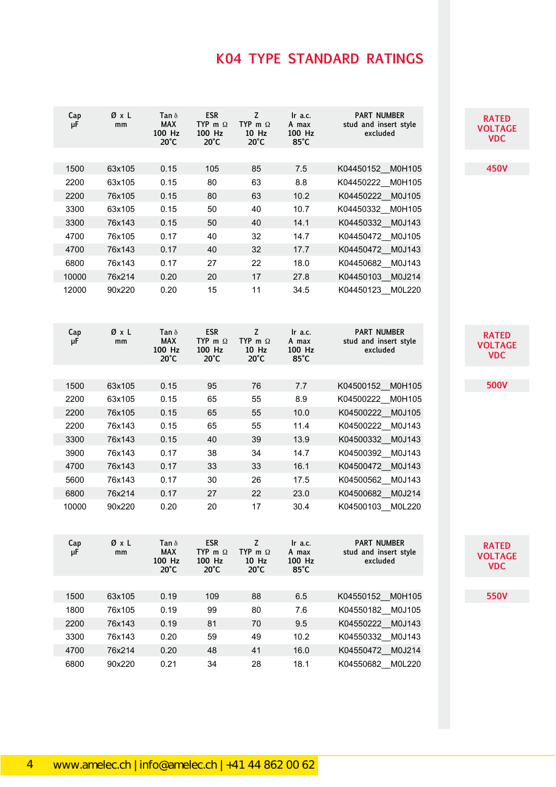## **K04 TYPE STANDARD RATINGS**

| Cap<br>μF | ØχL<br>mm | Tan $\delta$<br><b>MAX</b><br>100 Hz<br>$20^{\circ}$ C | <b>ESR</b><br>TYP m $\Omega$<br>100 Hz<br>$20^{\circ}$ C | z<br>TYP m $\Omega$<br>10 Hz<br>$20^{\circ}$ C | $\ln$ a.c.<br>A max<br>100 Hz<br>$85^{\circ}$ C | <b>PART NUMBER</b><br>stud and insert style<br>excluded |
|-----------|-----------|--------------------------------------------------------|----------------------------------------------------------|------------------------------------------------|-------------------------------------------------|---------------------------------------------------------|
|           |           |                                                        |                                                          |                                                |                                                 |                                                         |
| 1500      | 63x105    | 0.15                                                   | 105                                                      | 85                                             | 7.5                                             | K04450152<br>M0H105                                     |
| 2200      | 63x105    | 0.15                                                   | 80                                                       | 63                                             | 8.8                                             | K04450222 M0H105                                        |
| 2200      | 76x105    | 0.15                                                   | 80                                                       | 63                                             | 10.2                                            | K04450222<br>M0J105                                     |
| 3300      | 63x105    | 0.15                                                   | 50                                                       | 40                                             | 10.7                                            | K04450332 M0H105                                        |
| 3300      | 76x143    | 0.15                                                   | 50                                                       | 40                                             | 14.1                                            | K04450332 M0J143                                        |
| 4700      | 76x105    | 0.17                                                   | 40                                                       | 32                                             | 14.7                                            | K04450472 M0J105                                        |
| 4700      | 76x143    | 0.17                                                   | 40                                                       | 32                                             | 17.7                                            | K04450472 M0J143                                        |
| 6800      | 76x143    | 0.17                                                   | 27                                                       | 22                                             | 18.0                                            | K04450682 M0J143                                        |
| 10000     | 76x214    | 0.20                                                   | 20                                                       | 17                                             | 27.8                                            | K04450103 M0J214                                        |
| 12000     | 90x220    | 0.20                                                   | 15                                                       | 11                                             | 34.5                                            | K04450123 M0L220                                        |
| Cap<br>μF | ØxL<br>mm | Tan $\delta$<br><b>MAX</b><br>100 Hz<br>$20^{\circ}$ C | <b>ESR</b><br>TYP m $\Omega$<br>100 Hz<br>$20^{\circ}$ C | Z<br>TYP m $\Omega$<br>10 Hz<br>$20^{\circ}$ C | Ir a.c.<br>A max<br>100 Hz<br>85°C              | <b>PART NUMBER</b><br>stud and insert style<br>excluded |
|           |           |                                                        |                                                          |                                                |                                                 |                                                         |
| 1500      | 63x105    | 0.15                                                   | 95                                                       | 76                                             | 7.7                                             | K04500152<br>M0H105                                     |
| 2200      | 63x105    | 0.15                                                   | 65                                                       | 55                                             | 8.9                                             | K04500222<br>M0H105                                     |
| 2200      | 76x105    | 0.15                                                   | 65                                                       | 55                                             | 10.0                                            | K04500222 M0J105                                        |
| 2200      | 76x143    | 0.15                                                   | 65                                                       | 55                                             | 11.4                                            | K04500222 M0J143                                        |
| 3300      | 76x143    | 0.15                                                   | 40                                                       | 39                                             | 13.9                                            | K04500332 M0J143                                        |
| 3900      | 76x143    | 0.17                                                   | 38                                                       | 34                                             | 14.7                                            | K04500392 M0J143                                        |
| 4700      | 76x143    | 0.17                                                   | 33                                                       | 33                                             | 16.1                                            | K04500472 M0J143                                        |
| 5600      | 76x143    | 0.17                                                   | 30                                                       | 26                                             | 17.5                                            | K04500562 M0J143                                        |
| 6800      | 76x214    | 0.17                                                   | 27                                                       | 22                                             | 23.0                                            | K04500682 M0J214                                        |
| 10000     | 90x220    | 0.20                                                   | 20                                                       | 17                                             | 30.4                                            | K04500103 M0L220                                        |
| Cap<br>μF | ØχL<br>mm | Tan $\delta$<br><b>MAX</b><br>100 Hz<br>$20^{\circ}$ C | <b>ESR</b><br>TYP m $\Omega$<br>100 Hz<br>$20^{\circ}$ C | z<br>TYP m $\Omega$<br>10 Hz<br>$20^{\circ}$ C | Ir a.c.<br>A max<br>100 Hz<br>$85^{\circ}$ C    | <b>PART NUMBER</b><br>stud and insert style<br>excluded |
|           |           |                                                        |                                                          |                                                |                                                 |                                                         |
| 1500      | 63x105    | 0.19                                                   | 109                                                      | 88                                             | 6.5                                             | K04550152 M0H105                                        |
| 1800      | 76x105    | 0.19                                                   | 99                                                       | 80                                             | 7.6                                             | K04550182 M0J105                                        |
| 2200      | 76x143    | 0.19                                                   | 81                                                       | 70                                             | 9.5                                             | K04550222 M0J143                                        |
| 3300      | 76x143    | 0.20                                                   | 59                                                       | 49                                             | 10.2                                            | K04550332 M0J143                                        |
| 4700      | 76x214    | 0.20                                                   | 48                                                       | 41                                             | 16.0                                            | K04550472 M0J214                                        |
| 6800      | 90x220    | 0.21                                                   | 34                                                       | 28                                             | 18.1                                            | K04550682 M0L220                                        |
|           |           |                                                        |                                                          |                                                |                                                 |                                                         |

47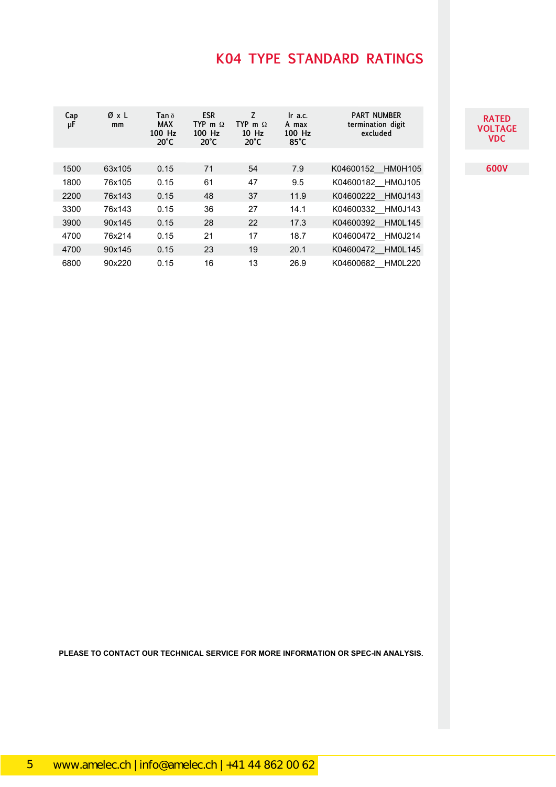## **K04 TYPE STANDARD RATINGS**

| <b>RATED</b> |
|--------------|
| VOLTAGE      |
| VDC          |

**600V**

| Cap<br>μF | ØxL<br>mm | Tan $\delta$<br><b>MAX</b><br>100 Hz<br>$20^{\circ}$ C | <b>ESR</b><br>TYP m $\Omega$<br>100 Hz<br>$20^{\circ}$ C | Z<br>TYP m $\Omega$<br>$10$ Hz<br>$20^{\circ}$ C | Ir a.c.<br>A max<br>100 Hz<br>$85^{\circ}$ C | <b>PART NUMBER</b><br>termination digit<br>excluded |
|-----------|-----------|--------------------------------------------------------|----------------------------------------------------------|--------------------------------------------------|----------------------------------------------|-----------------------------------------------------|
|           |           |                                                        |                                                          |                                                  |                                              |                                                     |
| 1500      | 63x105    | 0.15                                                   | 71                                                       | 54                                               | 7.9                                          | K04600152 HM0H105                                   |
| 1800      | 76x105    | 0.15                                                   | 61                                                       | 47                                               | 9.5                                          | K04600182 HM0J105                                   |
| 2200      | 76x143    | 0.15                                                   | 48                                                       | 37                                               | 11.9                                         | K04600222 HM0J143                                   |
| 3300      | 76x143    | 0.15                                                   | 36                                                       | 27                                               | 14.1                                         | K04600332 HM0J143                                   |
| 3900      | 90x145    | 0.15                                                   | 28                                                       | 22                                               | 17.3                                         | K04600392 HM0L145                                   |
| 4700      | 76x214    | 0.15                                                   | 21                                                       | 17                                               | 18.7                                         | K04600472 HM0J214                                   |
| 4700      | 90x145    | 0.15                                                   | 23                                                       | 19                                               | 20.1                                         | K04600472 HM0L145                                   |
| 6800      | 90x220    | 0.15                                                   | 16                                                       | 13                                               | 26.9                                         | K04600682 HM0L220                                   |

**PLEASE TO CONTACT OUR TECHNICAL SERVICE FOR MORE INFORMATION OR SPEC-IN ANALYSIS.**